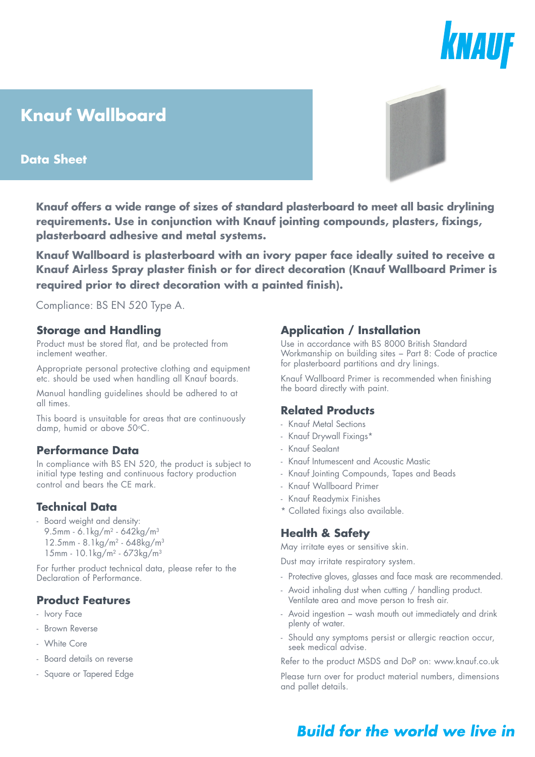# KNAUF

## **Knauf Wallboard**

#### **Data Sheet**



**Knauf Wallboard is plasterboard with an ivory paper face ideally suited to receive a Knauf Airless Spray plaster finish or for direct decoration (Knauf Wallboard Primer is required prior to direct decoration with a painted finish).**

Compliance: BS EN 520 Type A.

#### **Storage and Handling**

Product must be stored flat, and be protected from inclement weather.

Appropriate personal protective clothing and equipment etc. should be used when handling all Knauf boards.

Manual handling guidelines should be adhered to at all times.

This board is unsuitable for areas that are continuously damp, humid or above 50°C.

#### **Performance Data**

In compliance with BS EN 520, the product is subject to initial type testing and continuous factory production control and bears the CE mark.

#### **Technical Data**

- Board weight and density:
	- 9.5mm 6.1kg/m<sup>2</sup> 642kg/m<sup>3</sup> 12.5mm - 8.1kg/m2 - 648kg/m3
	- 15mm 10.1kg/m2 673kg/m3

For further product technical data, please refer to the Declaration of Performance.

#### **Product Features**

- Ivory Face
- Brown Reverse
- White Core
- Board details on reverse
- Square or Tapered Edge

#### **Application / Installation**

Use in accordance with BS 8000 British Standard Workmanship on building sites − Part 8: Code of practice for plasterboard partitions and dry linings.

Knauf Wallboard Primer is recommended when finishing the board directly with paint.

#### **Related Products**

- Knauf Metal Sections
- Knauf Drywall Fixings\*
- Knauf Sealant
- Knauf Intumescent and Acoustic Mastic
- Knauf Jointing Compounds, Tapes and Beads
- Knauf Wallboard Primer
- Knauf Readymix Finishes
- \* Collated fixings also available.

#### **Health & Safety**

May irritate eyes or sensitive skin.

Dust may irritate respiratory system.

- Protective gloves, glasses and face mask are recommended.
- Avoid inhaling dust when cutting / handling product. Ventilate area and move person to fresh air.
- Avoid ingestion − wash mouth out immediately and drink plenty of water.
- Should any symptoms persist or allergic reaction occur, seek medical advise.

Refer to the product MSDS and DoP on: www.knauf.co.uk

Please turn over for product material numbers, dimensions and pallet details.

### **Build for the world we live in**